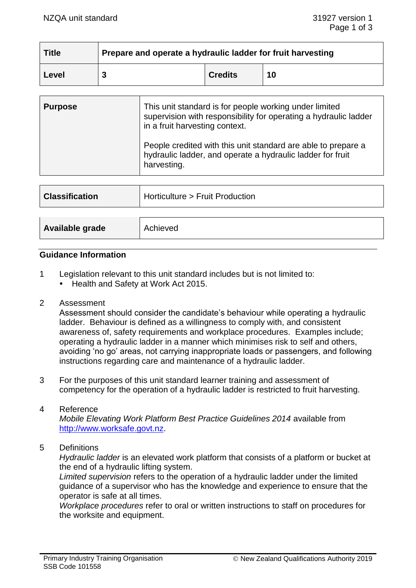| <b>Title</b> | Prepare and operate a hydraulic ladder for fruit harvesting |                |    |  |
|--------------|-------------------------------------------------------------|----------------|----|--|
| ∣ Level      |                                                             | <b>Credits</b> | 10 |  |

| <b>Purpose</b> | This unit standard is for people working under limited<br>supervision with responsibility for operating a hydraulic ladder<br>in a fruit harvesting context. |
|----------------|--------------------------------------------------------------------------------------------------------------------------------------------------------------|
|                | People credited with this unit standard are able to prepare a<br>hydraulic ladder, and operate a hydraulic ladder for fruit<br>harvesting.                   |

| <b>Classification</b> | Horticulture > Fruit Production |
|-----------------------|---------------------------------|
|                       |                                 |
| Available grade       | Achieved                        |

## **Guidance Information**

- 1 Legislation relevant to this unit standard includes but is not limited to:
	- Health and Safety at Work Act 2015.
- 2 Assessment

Assessment should consider the candidate's behaviour while operating a hydraulic ladder. Behaviour is defined as a willingness to comply with, and consistent awareness of, safety requirements and workplace procedures. Examples include; operating a hydraulic ladder in a manner which minimises risk to self and others, avoiding 'no go' areas, not carrying inappropriate loads or passengers, and following instructions regarding care and maintenance of a hydraulic ladder.

3 For the purposes of this unit standard learner training and assessment of competency for the operation of a hydraulic ladder is restricted to fruit harvesting.

#### 4 Reference

*Mobile Elevating Work Platform Best Practice Guidelines 2014* available from [http://www.worksafe.govt.nz.](http://www.worksafe.govt.nz/)

5 Definitions

*Hydraulic ladder* is an elevated work platform that consists of a platform or bucket at the end of a hydraulic lifting system.

*Limited supervision* refers to the operation of a hydraulic ladder under the limited guidance of a supervisor who has the knowledge and experience to ensure that the operator is safe at all times.

*Workplace procedures* refer to oral or written instructions to staff on procedures for the worksite and equipment.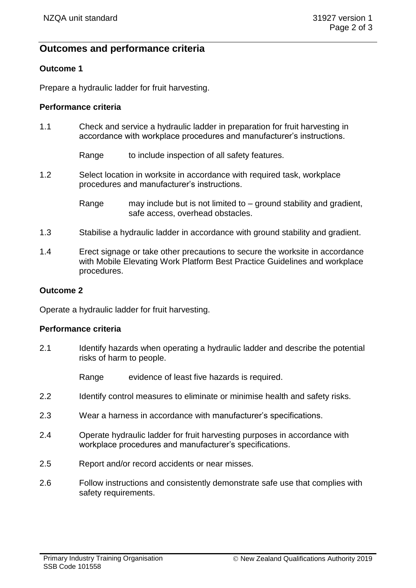# **Outcomes and performance criteria**

# **Outcome 1**

Prepare a hydraulic ladder for fruit harvesting.

# **Performance criteria**

1.1 Check and service a hydraulic ladder in preparation for fruit harvesting in accordance with workplace procedures and manufacturer's instructions.

Range to include inspection of all safety features.

1.2 Select location in worksite in accordance with required task, workplace procedures and manufacturer's instructions.

> Range may include but is not limited to  $-$  ground stability and gradient, safe access, overhead obstacles.

- 1.3 Stabilise a hydraulic ladder in accordance with ground stability and gradient.
- 1.4 Erect signage or take other precautions to secure the worksite in accordance with Mobile Elevating Work Platform Best Practice Guidelines and workplace procedures.

## **Outcome 2**

Operate a hydraulic ladder for fruit harvesting.

## **Performance criteria**

- 2.1 Identify hazards when operating a hydraulic ladder and describe the potential risks of harm to people.
	- Range evidence of least five hazards is required.
- 2.2 Identify control measures to eliminate or minimise health and safety risks.
- 2.3 Wear a harness in accordance with manufacturer's specifications.
- 2.4 Operate hydraulic ladder for fruit harvesting purposes in accordance with workplace procedures and manufacturer's specifications.
- 2.5 Report and/or record accidents or near misses.
- 2.6 Follow instructions and consistently demonstrate safe use that complies with safety requirements.